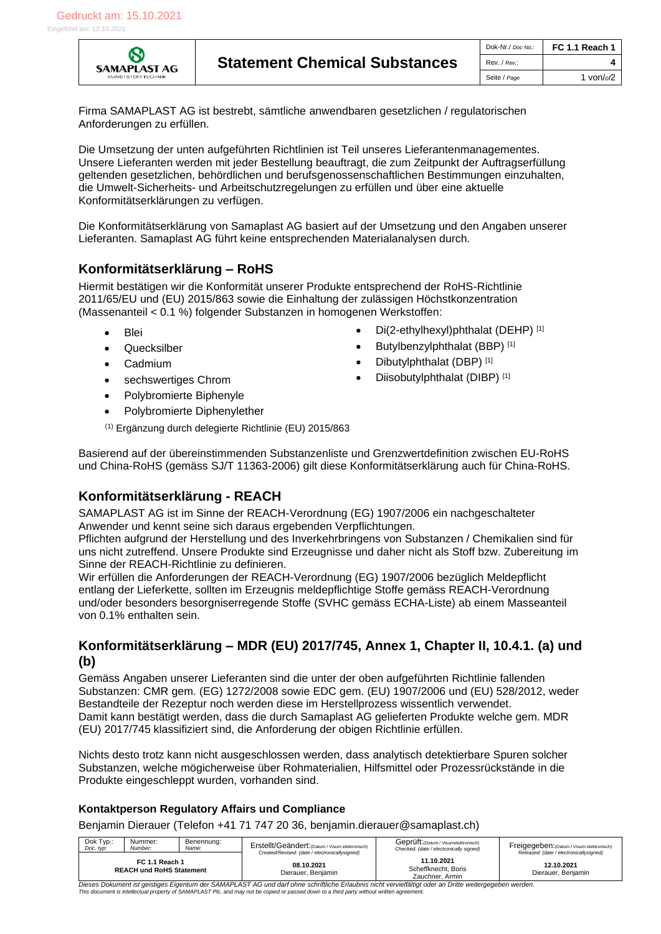

| Dok-Nr./ Doc No.: | <b>FC 1.1 Reach 1</b> |
|-------------------|-----------------------|
| Rev. / Rev.:      |                       |
| Seite / Page      | 1 von/ $of2$          |

Firma SAMAPLAST AG ist bestrebt, sämtliche anwendbaren gesetzlichen / regulatorischen Anforderungen zu erfüllen.

Die Umsetzung der unten aufgeführten Richtlinien ist Teil unseres Lieferantenmanagementes. Unsere Lieferanten werden mit jeder Bestellung beauftragt, die zum Zeitpunkt der Auftragserfüllung geltenden gesetzlichen, behördlichen und berufsgenossenschaftlichen Bestimmungen einzuhalten, die Umwelt-Sicherheits- und Arbeitschutzregelungen zu erfüllen und über eine aktuelle Konformitätserklärungen zu verfügen.

Die Konformitätserklärung von Samaplast AG basiert auf der Umsetzung und den Angaben unserer Lieferanten. Samaplast AG führt keine entsprechenden Materialanalysen durch.

### **Konformitätserklärung – RoHS**

Hiermit bestätigen wir die Konformität unserer Produkte entsprechend der RoHS-Richtlinie 2011/65/EU und (EU) 2015/863 sowie die Einhaltung der zulässigen Höchstkonzentration (Massenanteil < 0.1 %) folgender Substanzen in homogenen Werkstoffen:

- Blei Di(2-ethylhexyl)phthalat (DEHP) [1]
- [Quecksilber](http://de.wikipedia.org/wiki/Quecksilber) Butylbenzylphthalat (BBP) [1]
- **[Cadmium](http://de.wikipedia.org/wiki/Cadmium)** Dibutylphthalat (DBP) [1]
- [sechswertiges](http://de.wikipedia.org/wiki/Wertigkeit_(Chemie)) [Chrom](http://de.wikipedia.org/wiki/Chrom) **•** Diisobutylphthalat (DIBP)<sup>[1]</sup>
- [Polybromierte Biphenyle](http://de.wikipedia.org/wiki/Polybromierte_Biphenyle)
- [Polybromierte Diphenylether](http://de.wikipedia.org/wiki/Polybromierte_Diphenylether)
- (1) Ergänzung durch delegierte Richtlinie (EU) 2015/863

Basierend auf der übereinstimmenden Substanzenliste und Grenzwertdefinition zwischen EU-RoHS und China-RoHS (gemäss SJ/T 11363-2006) gilt diese Konformitätserklärung auch für China-RoHS.

# **Konformitätserklärung - REACH**

SAMAPLAST AG ist im Sinne der REACH-Verordnung (EG) 1907/2006 ein nachgeschalteter Anwender und kennt seine sich daraus ergebenden Verpflichtungen.

Pflichten aufgrund der Herstellung und des Inverkehrbringens von Substanzen / Chemikalien sind für uns nicht zutreffend. Unsere Produkte sind Erzeugnisse und daher nicht als Stoff bzw. Zubereitung im Sinne der REACH-Richtlinie zu definieren.

Wir erfüllen die Anforderungen der REACH-Verordnung (EG) 1907/2006 bezüglich Meldepflicht entlang der Lieferkette, sollten im Erzeugnis meldepflichtige Stoffe gemäss REACH-Verordnung und/oder besonders besorgniserregende Stoffe (SVHC gemäss ECHA-Liste) ab einem Masseanteil von 0.1% enthalten sein.

### **Konformitätserklärung – MDR (EU) 2017/745, Annex 1, Chapter II, 10.4.1. (a) und (b)**

Gemäss Angaben unserer Lieferanten sind die unter der oben aufgeführten Richtlinie fallenden Substanzen: CMR gem. (EG) 1272/2008 sowie EDC gem. (EU) 1907/2006 und (EU) 528/2012, weder Bestandteile der Rezeptur noch werden diese im Herstellprozess wissentlich verwendet. Damit kann bestätigt werden, dass die durch Samaplast AG gelieferten Produkte welche gem. MDR (EU) 2017/745 klassifiziert sind, die Anforderung der obigen Richtlinie erfüllen.

Nichts desto trotz kann nicht ausgeschlossen werden, dass analytisch detektierbare Spuren solcher Substanzen, welche mögicherweise über Rohmaterialien, Hilfsmittel oder Prozessrückstände in die Produkte eingeschleppt wurden, vorhanden sind.

#### **Kontaktperson Regulatory Affairs und Compliance**

Benjamin Dierauer (Telefon +41 71 747 20 36, benjamin.dierauer@samaplast.ch)

| Dok Typ.:<br>Doc. typ:                                                                                                                                 | Nummer:<br>Number: | Benennung:<br>Name: | Erstellt/Geändert: (Datum / Visum elektronisch)<br>Created/Revised: (date / electronicallysigned) | Geprüft: (Datum / Visumelektronisch)<br>Checked: (date / electronically signed) | Freigegeben: (Datum / Visum elektronisch)<br>Released: (date / electronicallysigned) |  |
|--------------------------------------------------------------------------------------------------------------------------------------------------------|--------------------|---------------------|---------------------------------------------------------------------------------------------------|---------------------------------------------------------------------------------|--------------------------------------------------------------------------------------|--|
| FC 1.1 Reach 1<br><b>REACH und RoHS Statement</b>                                                                                                      |                    |                     | 08.10.2021<br>Dierauer, Benjamin                                                                  | 11.10.2021<br>Scheffknecht, Boris<br>Zauchner, Armin                            | 12.10.2021<br>Dierauer, Benjamin                                                     |  |
| Dieses Dokument ist geistiges Eigentum der SAMAPLAST AG und darf ohne schriftliche Erlaubnis nicht vervielfältigt oder an Dritte weitergegeben werden. |                    |                     |                                                                                                   |                                                                                 |                                                                                      |  |

*This document is intellectual property of SAMAPLAST Plc. and may not be copied or passed down to a third party without written agreement.*